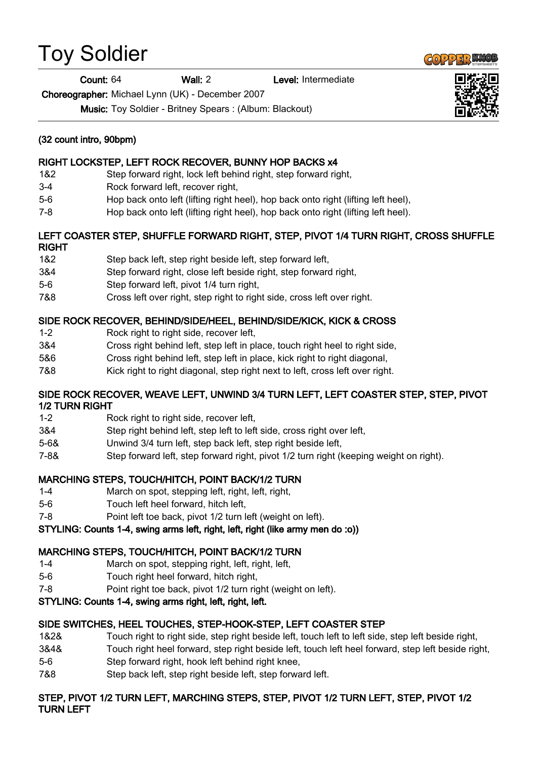# Toy Soldier

Count: 64 Wall: 2 Level: Intermediate

Choreographer: Michael Lynn (UK) - December 2007

Music: Toy Soldier - Britney Spears : (Album: Blackout)

# (32 count intro, 90bpm)

# RIGHT LOCKSTEP, LEFT ROCK RECOVER, BUNNY HOP BACKS x4

- 1&2 Step forward right, lock left behind right, step forward right,
- 3-4 Rock forward left, recover right,
- 5-6 Hop back onto left (lifting right heel), hop back onto right (lifting left heel),
- 7-8 Hop back onto left (lifting right heel), hop back onto right (lifting left heel).

# LEFT COASTER STEP, SHUFFLE FORWARD RIGHT, STEP, PIVOT 1/4 TURN RIGHT, CROSS SHUFFLE RIGHT

- 1&2 Step back left, step right beside left, step forward left,
- 3&4 Step forward right, close left beside right, step forward right,
- 5-6 Step forward left, pivot 1/4 turn right,
- 7&8 Cross left over right, step right to right side, cross left over right.

# SIDE ROCK RECOVER, BEHIND/SIDE/HEEL, BEHIND/SIDE/KICK, KICK & CROSS

- 1-2 Rock right to right side, recover left,
- 3&4 Cross right behind left, step left in place, touch right heel to right side,
- 5&6 Cross right behind left, step left in place, kick right to right diagonal,
- 7&8 Kick right to right diagonal, step right next to left, cross left over right.

#### SIDE ROCK RECOVER, WEAVE LEFT, UNWIND 3/4 TURN LEFT, LEFT COASTER STEP, STEP, PIVOT 1/2 TURN RIGHT

- 1-2 Rock right to right side, recover left,
- 3&4 Step right behind left, step left to left side, cross right over left,
- 5-6& Unwind 3/4 turn left, step back left, step right beside left,
- 7-8& Step forward left, step forward right, pivot 1/2 turn right (keeping weight on right).

# MARCHING STEPS, TOUCH/HITCH, POINT BACK/1/2 TURN

- 1-4 March on spot, stepping left, right, left, right,
- 5-6 Touch left heel forward, hitch left,
- 7-8 Point left toe back, pivot 1/2 turn left (weight on left).

#### STYLING: Counts 1-4, swing arms left, right, left, right (like army men do :o))

# MARCHING STEPS, TOUCH/HITCH, POINT BACK/1/2 TURN

- 1-4 March on spot, stepping right, left, right, left,
- 5-6 Touch right heel forward, hitch right,
- 7-8 Point right toe back, pivot 1/2 turn right (weight on left).

# STYLING: Counts 1-4, swing arms right, left, right, left.

# SIDE SWITCHES, HEEL TOUCHES, STEP-HOOK-STEP, LEFT COASTER STEP

- 1&2& Touch right to right side, step right beside left, touch left to left side, step left beside right,
- 3&4& Touch right heel forward, step right beside left, touch left heel forward, step left beside right, 5-6 Step forward right, hook left behind right knee,
- 7&8 Step back left, step right beside left, step forward left.

# STEP, PIVOT 1/2 TURN LEFT, MARCHING STEPS, STEP, PIVOT 1/2 TURN LEFT, STEP, PIVOT 1/2 TURN LEFT